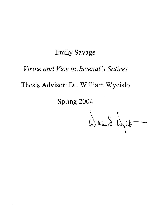# Emily Savage

# *Virtue and Vice in Juvenal's Satires*

Thesis Advisor: Dr. William Wycislo

Spring 2004

William D. Wyick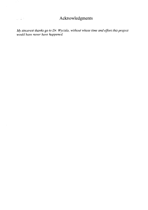## **Acknowledgments**

*My sincerest thanks go to Dr. Wycislo, without whose time and effort this project would have never have happened.* 

 $\bar{\gamma}$ 

 $\frac{1}{2} \sqrt{\frac{1}{K}} \frac{1}{2}$  .

l,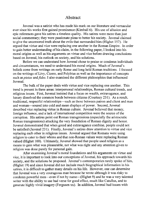#### **Abstract**

Juvenal was a satirist who has made his mark on our literature and vernacular ever since his works first gained prominence (Kimball 6). His use of allusion and epic references gave his satires a timeless quality. His satires were more than just social commentary; they were passionate pleas to better his society. Juvenal claimed to give the uncensored truth about the evils that surrounded him (Highet 157). He argued that virtue and vice were replacing one another in the Roman Empire. In order to gain better understanding of his claim, in the following paper, I looked into his moral origins as well as his arguments on virtue and vice before drawing conclusions based on Juvenal, his outlook on society, and his solutions.

Before we can understand how Juvenal chose to praise or condemn individuals and circumstances, we need to understand his moral origins. Much of Juvenal's beliefs come from writings on early Rome and long held Roman traditions. I focused on the writings of Livy, Cicero, and Polybius as well as the importance of concepts such as *pietas* and *fides*. I also examined the different philosophies that influenced Juvenal.

The bulk of the paper deals with virtue and vice replacing one another. This trend is present in three areas: interpersonal relationships, Roman cultural trends, and religious issues. First, Juvenal insisted that a focus on wealth, extravagance, and luxury dissolved the common bonds between citizens (Courtney 231). As a result, traditional, respectful relationships—such as those between patron and client and man and woman-soured into cold and mean displays of power. Second, Juvenal described vice replacing virtue in Roman culture. Juvenal believed that money, foreign influence, and a lack of international competition were the source of the corruption. His satires point out Roman transgressions (especially the aristocratic Roman transgressions) attacking the very foundation of Roman dignity and honor. Juvenal demonstrated that when greed and extravagance combine, people could not be satisfied (Juvenal 231). Finally, Juvenal's satires draw attention to virtue and vice replacing each other in religious issues. Juvenal argued that Romans were using religion to cater to their whims and that non-Roman values were replacing Roman valued (Highet 100). Ultimately, Juvenal showed that people used religion as a means to gain what was pleasurable, not what was right and any attention given to religion was done purely for personal gain.

After examining Juvenal's moral foundations and his arguments on virtue and vice, it is important to look into our conceptions of Juvenal, his approach towards his society, and the solutions he proposed. Juvenal's contemporaries rarely spoke of him, (Highet 19) and since Juvenal did not include much biographical information in his satires, it is difficult to gather many details on his life. However, one can determine that Juvenal was a very courageous man because he wrote although it was risky to condemn powerful men—even if not by name—(Highet 9) and he was a very talented writer with the ability to use bad verse for good effect, much like Catullus, and to generate highly vivid imagery (Fergusen xx). In addition, Juvenal had issues with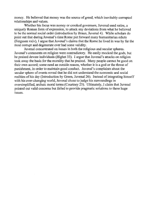money. He believed that money was the source of greed, which inevitably corrupted relationships and values.

Whether his focus was money or crooked governors, Juvenal used satire, a uniquely Roman form of expression, to attack any deviations from what he believed to be the normal social order (introduction by Braun, Juvenal 4). While scholars do point out that during Juvenal's time Rome put forward many humanitarian edicts (Fergusen xxiv), I argue that Juvenal's claims that the Rome he lived **in** was by far the most corrupt and degenerate ever had some validity.

Juvenal concentrated on issues **in** both the religious and secular spheres. Juvenal's comments on religion were contradictory. He easily mocked the gods, but he praised devote individuals (Highet 33). I argue that Juvenal's attacks on religion took away the basis for the morality that he praised. Many people cannot be good on their own accord; some need an outside reason, whether it is a god or the threat of punishment, **in** order to maintain good conduct. Juvenal's complaints about the secular sphere of events reveal that he did not understand the economic and social realities of his day (Introduction by Green, Juvenal 26). Instead of integrating himself with his ever-changing world, Juvenal chose to judge his surroundings in oversimplified, archaic moral terms (Courtney 25). Ultimately, I claim that Juvenal pointed out valid concerns but failed to provide pragmatic solutions to these huge issues.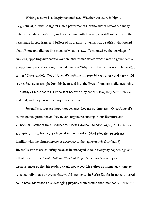Writing a satire is a deeply personal act. Whether the satire is highly biographical, as with Margaret Cho's performances, or the author leaves out many details from its author's life, such as the case with Juvenal, it is still infused with the passionate hopes, fears, and beliefs of its creator. Juvenal was a satirist who looked about Rome and did not like much of what he saw. Tormented by the marriage of eunuchs, appalling aristocratic women, and former slaves whose wealth gave them an extraordinary social ranking, Juvenal claimed "Why then, it is harder not to be writing satires" (Juvenal 66). Out of Juvenal's indignation rose 16 very angry and very vivid satires that came straight from his heart and into the lives of modern audiences today. The study of these satires is important because they are timeless, they cover relevant material, and they present a unique perspective.

Juvenal's satires are important because they are so timeless. Once Juvenal's satires gained prominence, they never stopped resonating in our literature and vernacular. Authors from Chaucer to Nicolas Boileau, to Montaigne, to Donne, for example, all paid homage to Juvenal in their works. Most educated people are familiar with the phrase *panern et circenses* or the tag *rara avis* (Kimball 6). Juvenal's satires are enduring because he managed to take everyday happenings and tell of them in epic terms. Juvenal wrote of long dead characters and past circumstances so that his readers would not accept his satires as momentary rants on selected individuals or events that would soon end. In Satire IX, for instance, Juvenal could have addressed an *actual* aging playboy from around the time that he published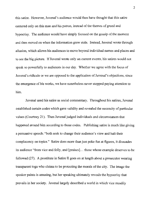this satire. However, Juvenal's audience would then have thought that this satire centered only on this man and his patron, instead of the themes of greed and hypocrisy. The audience would have simply focused on the gossip of the moment and then moved on when the information grew stale. Instead, Juvenal wrote through allusion, which allows his audiences to move beyond individual names and places and to see tbe big picture. **If** Juvenal wrote only on current events, his satires would not speak so powerfully to audiences in our day. Whether we agree with the focus of Juvenal's ridicule or we are opposed to the application of Juvenal's objections, since the emergence of his works, we have nonetheless never stopped paying attention to him.

Juvenal used his satire as social commentary. Throughout his satires, Juvenal established certain codes which gave validity and revealed the necessity of particular values (Courtney 21). Then Juvenal judged individuals and circumstances that happened around him according to those codes. Publishing satire is much like giving a persuasive speech: "both seek to change their audience's view and halt their complacency on topics." Satire does more than just poke fun at figures, it dissuades its audience "from vice and folly, and [praises] ... those whose example deserves to be followed (27). A prostitute in Satire II goes on at length about a prosecutor wearing transparent toga who claims to be protecting the morals of the city. The image the speaker paints is amusing, but her speaking ultimately reveals the hypocrisy that prevails in her society. Juvenallargely described a world in which vice steadily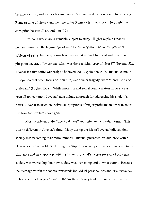became a virtue, and virtues became vices. Juvenal used the contrast between early Rome (a time of virtue) and the time of his Rome (a time of vice) to highlight the corruption he sawall around him (19).

Juvenal's works are a valuable subject to study. Highet explains that all human life—from the beginnings of time to this very moment are the potential subjects of satire, but he explains that Juvenal takes this blunt tool and uses it with pin-point accuracy "by asking 'when was there a richer crop of vices?''' (Juvenal 52). Juvenal felt that satire was real; he believed that it spoke the truth. Juvenal came to the opinion that other forms of literature, like epic or tragedy, were "unrealistic and irrelevant" (Highet 152). While moralists and social commentators have always been all too common, Juvenal had a unique approach for addressing his society's flaws. Juvenal focused on individual symptoms of major problems in order to show just how far problems have gone.

Most people extol the "good old days" and criticize the modern times. This was no different in Juvenal's time. Many during the life of Juvenal believed that society was becoming ever more immoral. Juvenal presented his audience with a clear scope of the problem. Through examples in which patricians volunteered to be gladiators and an empress prostitutes herself, Juvenal' s satires reveal not only that society was worsening, but how society was worsening and to what extent. Because the message within the satires transcends individual personalities and circumstances to become timeless pieces within the Western literary tradition, we must treat his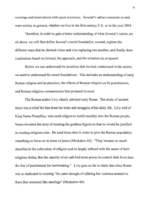warnings and reservations with equal reverence. Juvenal's satires comment on and warn society in general, whether we live in the first century C.E. or in the year 2004.

Therefore, in order to gain a better understanding of what Juvenal's satires are all about, we will first define Juvenal's moral foundation, second, explore the different ways that he showed virtue and vice replacing one another, and finally draw conclusions based on Juvenal, his approach, and the solutions he proposed.

Before we can understand the practices that Juvenal condemned in his satires, we need to understand his moral foundations. This includes an understanding of early Roman religion and its practices, the effects of Roman religion on its practitioners, and Roman religious commentaries that predated Juvenal.

The Roman author Livy clearly admired early Rome. The study of ancient times was a relief for him from the trials and struggles of his daily life. Livy told of King Numa Pompilius, who used religion to instill morality into the Roman people. Numa invented the story of meeting the goddess Egeria so that he would be justified in creating religious rites. He used these rites in order to give the Roman population something to focus on in times of peace (Moskalew 63). "They became so much absorbed in the cultivation of religion and so deeply imbued with the sense of their religious duties, that the sanctity of an oath had more power to control their lives than the fear of punishment for lawbreaking." Livy goes so far to claim that since Rome was so dedicated to worship "the mere thought of offering her violence seemed to them [her enemies] like sacrilege" (Moskalew 64).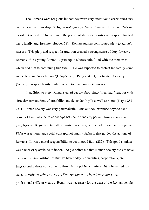The Romans were religious in that they were very attentive to ceremonies and precision in their worship. Religion was synonymous with *pietas.* However, *"pietas*  meant not only dutifulness toward the gods, but also a demonstrative respect" for both one's family and the state (Hooper 71). Roman authors contributed piety to Rome's success. This piety and respect for tradition created a strong sense of duty for early Romans. "The young Roman... grew up in a household filled with the memories which tied him to continuing tradition... He was expected to protect the family name and to be equal to its honors"(Hooper 126). Piety and duty motivated the early Romans to respect family traditions and to maintain social norms.

In addition to piety, Romans cared deeply about *fides* (meaning *faith*, but with "broader connotations of credibility and dependability") as well as honor (Nagle 282- 283). Roman society was very paternalistic. This outlook extended beyond each household and into the relationships between friends, upper and lower classes, and even between Rome and her allies. *Fides* was the glue that held these bonds together. *Fides* was a moral and social concept, not legally defined, that guided the actions of Romans. It was a moral responsibility to act in good faith (282). This good conduct was a necessary attribute to honor. Nagle points out that Roman society did not have the honor giving institutions that we have today: universities, corporations, etc. Instead, individuals earned honor through the public activities which benefited the state. In order to gain distinction, Romans needed to have honor more than professional skills or wealth. Honor was necessary for the trust of the Roman people,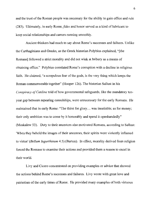and the trust of the Roman people was necessary for the ability to gain office and rule (283). Ultimately, in early *Rome,fides* and honor served as a kind of lubricant to keep social relationships and careers running smoothly.

Ancient thinkers had much to say about Rome's successes and failures. Unlike the Carthaginians and Greeks, as the Greek historian Polybius explained, "[the Romans] followed a strict morality and did not wink at bribery as a means of obtaining office." Polybius correlated Rome's corruption with a decline in religious faith. He claimed, "a scrupulous fear of the gods, is the very thing which keeps the Roman commonwealth together" (Hooper 126). The historian Sallust in his *Conspiracy of Catiline* told of how governmental safeguards, like the mandatory tenyear gap between repeating consulships, were unnecessary for the early Romans. He maintained that in early Rome: "The thirst for glory ... was insatiable; as for money; their only ambition was to come by it honorably and spend it openhandedly" (Moskalew 53). Duty to their ancestors also motivated Romans, according to Sallust: 'When they beheld the images of their ancestors, their spirits were violently inflamed to virtue' *(Bellum Iugurthinum* 4.5) (Barton). **In** effect, morality derived from religion forced the Romans to examine their actions and provided them a reason to excel in their world.

Livy and Cicero concentrated on providing examples or advice that showed the actions behind Rome's successes and failures. Livy wrote with great love and patriotism of the early times of Rome. He provided many examples of both virtuous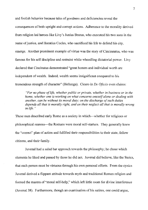and foolish behavior because tales of goodness and deficiencies reveal the consequences of both upright and corrupt actions. Adherence to the morality derived from religion led heroes like Livy's Junius Brutus, who executed his two sons in the name of justice, and Horatius Cocles, who sacrificed his life to defend his city, emerge. Another prominent example of virtue was the story of Cincinnatus, who was famous for his self discipline and restraint while wheedling dictatorial power. Livy declared that Cincinatus demonstrated "great honors and individual worth are independent of wealth. Indeed, wealth seems insignificant compared to his tremendous strength of character" (Hellenga). Cicero in *De Oficiis* even claims:

*"For no phase of life, whether public or private, whether in business or in the horne, whether one* is *working on what concerns oneself alone or dealing with another, can be without its moral duty; on the discharge of such duties depends all that is morally right, and on their neglect all that is morally wrong in life. "* 

These men described early Rome as a society in which—whether for religious or philosophical reasons—the Romans were moral self-starters. They generally knew the "correct" plan of action and fulfilled their responsibilities to their state, fellow citizens, and their family.

Juvenal had a salad bar approach towards the philosophy; he chose which elements he liked and passed by those he did not. Juvenal did believe, like the Stoics, that each person must be virtuous through his own personal efforts. From the cynics Juvenal derived a flippant attitude towards myth and traditional Roman religion and formed the mantra of "moral self-help," which left little room for divine interference (JuvenaI38). Furthermore, though an examination of his satires, one could argue,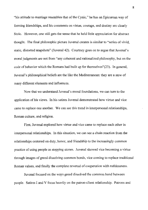"his attitude to marriage resembles that of the Cynic," he has an Epicurean way of forming friendships, and his comments on virtue, courage, and destiny are clearly Stoic. However, one still gets the sense that he held little appreciation for abstract thought. The final philosophic picture Juvenal creates is similar to "series of vivid, static, distorted snapshots" (Juvenal 42). Courtney goes on to argue that Juvenal's moral judgments are not from "any coherent and rationalized philosophy, but on the code of behavior which the Romans had built up for themselves"(23). In general, Juvenal's philosophical beliefs are the like the Mediterranean: they are a stew of many different elements and influences.

Now that we understand Juvenal's moral foundations, we can tum to the application of his views. In his satires Juvenal demonstrated how virtue and vice came to replace one another. We can see this trend in interpersonal relationships, Roman culture, and religion.

First, Juvenal explored how virtue and vice came to replace each other in interpersonal relationships. In this situation, we can see a chain reaction from the relationships centered on duty, honor, and friendship to the increasingly common practice of using people as stepping stones. Juvenal showed vice becoming a virtue through images of greed dissolving common bonds, vice coming to replace traditional Roman values, and finally the complete reversal of cooperation with ruthlessness.

Juvenal focused on the ways greed dissolved the common bond between people. Satires I and V focus heavily on the patron-client relationship. Patrons and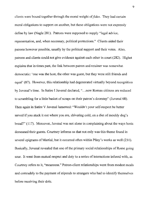clients were bound together through the moral weight of *fides*. They had certain moral obligations to support on another, but these obligations were not expressly define by law (Nagle 281). Patrons were supposed to supply "legal advice, representation, and, when necessary, political protections." Clients aided their patrons however possible, usually by the political support and their votes. Also, patrons and clients could not give evidence against each other in court (282). Highet explains that in times past, the link between patron and retainer was somewhat democratic: 'one was the host, the other was guest, but they were still friends and equal' (87). However, this relationship had degenerated virtually beyond recognition by Juvenal's time. **In** Satire I Juvenal declared, " ... now Roman citizens are reduced to scrambling for a little basket of scraps on their patron's doorstep" (Juvenal 68). Then again in Satire V Juvenal lamented: "Wouldn't your self-respect be better served if you stuck it out where you are, shivering cold, on a diet of mouldy dog's bread?" (117). Moreover, Juvenal was not alone in complaining about the ways hosts demeaned their guests. Courtney informs us that not only was this theme found in several epigrams of Martial, but it occurred often within Pliny's works as well (231). Basically, Juvenal revealed that one of the primary social relationships of Rome going sour. It went from mutual respect and duty to a series of interactions infused with, as Courtney refers to it, "meanness." Patron-client relationships went from modest meals and comradely to the payment of stipends to strangers who had to identify themselves before receiving their dole.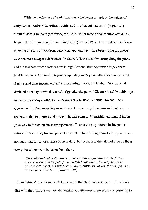With the weakening of traditional ties, vice began to replace the values of early Rome. Satire V describes wealth used as a "calculated snub" (Highet 83). "[Virro] does it to make you suffer, for kicks. What farce or pantomime could be a bigger joke than your empty, rumbling belly"(Juvenal 122). Juvenal described Virro enjoying all sorts of wondrous delicacies and luxuries while begrudging his guests even the most meager subsistence. In Satire VII, the wealthy string along the poets and the teachers whose services are in high demand, but they refuse to pay them livable incomes. The wealth begrudge spending money on cultural experiences but freely spend their income on "silly or degrading" pursuits (Highet 109). Juvenal depicted a society in which the rich stigmatize the poor. "Cicero himself wouldn't get tuppence these days without an enormous ring to flash in court" (Juvenal 168). Consequently, Roman society moved even farther away from patron-client respect (generally rich to poorer) and into two hostile camps. Friendship and mutual favors gave way to forced business arrangements. Even civic duty soured in Juvenal's satires. In Satire IV, Juvenal presented people relinquishing items to the government, not out of patriotism or a sense of civic duty, but because if they do not give up those items, those items will be taken from them.

"This splendid catch the owner... has earmarked for Rome's High Priest... *since who would dare put up such a fish to auction... the very seashore swarms with narks and informers ... all quoting law, to wit, that the jish had strayed from Caesar...* " *(Juvenal 106).* 

Within Satire V, clients succumb to the greed that their patrons exude. The clients dine with their patrons—a now demeaning activity—out of greed, the opportunity to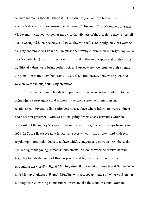eat another man's food (Highet 83). "He assumes you've been hooked by his kitchen's delectable odours-and not far wrong" (Juvenal 122). Moreover, in Satire VI, Juvenal portrayed women as mirror to the vileness of their society, they reflect all that is wrong with their society, and those few who refuse to indulge in vices were to haughty and proud to live with. He questioned "Why endure such bitch-tyranny when rope's available" (128). Juvenal's satires revealed that in interpersonal relationships traditional values were being pushed aside. Patrons were now cruel to their clients, the poor-no matter how honorable-were shameful because they were poor, and women were vicious, conniving creatures.

In the end, common bonds fell apart, and vileness overcame tradition to the point where extravagance and immorality reigned supreme in interpersonal relationships. Juvenal's first satire describes a place where informers were eminent and a corrupt governor- who was found guilty for his shady activities while in office-kept the money he ciphered from his provinces; "Wealth springs from crime" (67). In Satire II, we see how far Roman society went from a state filled with selfregulating, moral individuals to a place which conquers and corrupts. On the social awakening of the young Armenian nobleman: "No doubt when he returns he will teach his friends the vices of Roman young, and so, the infection will spread throughout the world" (Highet 63). In Satire III, the speaker states that if Scipio (who took Mother Goddess to Rome), Metellus who rescued an image of Minerva from her burning temple, or King Numa himself were to take the stand in court. Romans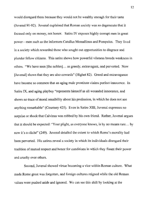would disregard them because they would not be wealthy enough for their taste (JuvenaI91-92). Juvenal explained that Roman society was so degenerate that it focused only on money, not honor. Satire IV exposes highly corrupt men in great power—men such as the informers Catullus Messallinus and Pompeius. They lived in a society which rewarded those who sought out opportunities to disgrace and plunder fellow citizens. This satire shows how powerful vileness breeds weakness in others. "We have seen [the nobles] ... as greedy, extravagant, and perverted. Now [Juvenal] shows that they are also cowards" (Highet 82). Greed and extravagance have become so common that an aging male prostitute claims perfect innocence. In Satire IX, and aging playboy "represents himself as all wounded innocence, and shows no trace of moral sensibility about his profession, in which he does not see anything remarkable" (Courtney 425). Even in Satire XIII, Juvenal expresses no surprise or shock that Calvinus was robbed by his own friend. Rather, Juvenal argues that it should be expected: "Your plight, as everyone knows, is by no means rare ... by now it's a cliche" (249). Juvenal detailed the extent to which Rome's morality had been perverted. His satires reveal a society in which its individuals disregard their tradition of mutual respect and honor for conditions in which they flaunt their power and cruelty over others.

Second, Juvenal showed virtue becoming a vice within Roman culture. What made Rome great was forgotten, and foreign cultures reigned while the old Roman values were pushed aside and ignored. We can see this shift by looking at the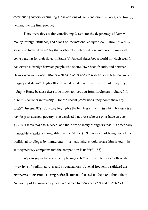contributing factors, examining the inversions of roles and circumstances, and finally, delving into the final product.

There were three major contributing factors for the degeneracy of Rome: money, foreign influence, and a lack of international competition. Satire I reveals a society so focused on money that aristocrats, rich freedmen, and poor retainers all come begging for their dole. In Satire Y, Juvenal described a world in which wealth had driven a "wedge between people who should have been friends, and between classes who were once partners with each other and are now either hateful enemies or masters and slaves" (Highet 88). Juvenal pointed out that it is difficult to earn a living in Rome because there is so much competition from foreigners in Satire III. "There's no room in this city ... for the decent professions: they don't show any profit" (Juvenal 87). Courtney highlights the helpless situation in which honesty is a handicap to succeed, poverty is so despised that those who are poor have an even greater disadvantage to succeed, and there are so many foreigners that it is practically impossible to make an honorable living (151,152). "He is afraid of being ousted from traditional privileges by immigrants ... his nationality should secure him favour ... he self-righteously complains that the competition is unfair" (153).

We can see virtue and vice replacing each other in Roman society through the inversions of traditional roles and circumstances. Juvenal frequently satirized the aristocrats of his time. During Satire **II,** Juvenal focused on them and found them "unworthy of the names they bear, a disgrace to their ancestors and a source of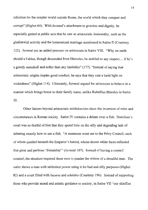infection for the simpler world outside Rome, the world which they conquer and corrupt" (Highet 64). With Juvenal's attachment to *gravitas* and dignity, he especially grated at public acts that he saw as aristocratic immorality, such as the gladiatorial activity and the homosexual marriage mentioned in Satire II (Courtney 122). Juvenal put an added pressure on aristocrats in Satire VIII. "Why on earth should a Fabius, though descended from Hercules, be entitled to any respect. .. ifhe's a greedy numskull and softer than any lambskin" (177). "Instead of saying that aristocratic origins inspire good conduct, he says that they cast a lurid light on wickedness" (Highet 114). Ultimately, Juvenal argued for aristocrats to behave in a manner which brings honor to their family name, unlike Rubellius Blandus in Satire III.

Other factors beyond aristocratic misbehaviors show the inversion of roles and circumstances in Roman society. Satire **IV** contains a debate over a fish. Domitian's court was so fearful of him that they spend time on the silly and degrading task of debating exactly how to use a fish. "A summons went out to the Privy Council, each of whom quailed beneath the Emperor's hatred, whose drawn white faces reflected that great and perilous 'friendship'" (Juvenal 107). Instead of having a council counsel, the situation required these men to pander the whims of a dreadful man. The satire shows a man with unlimited power using it for bad and silly purposes (Highet 82) and a court filled with *luxuria* and *adulatia* (Courtney 196). Instead of supporting those who provide moral and artistic guidance to society, in Satire VII "our skinflint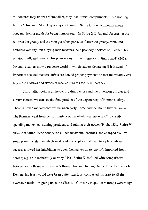millionaires may flatter artistic talent, may load it with compliments ... but nothing further" (Juvenal 164). Hypocrisy continues in Satire II in which homosexuals condemn homosexuals for being homosexual. In Satire XII, Juvenal focuses on the rewards the greedy and the vain get when parasites flatter the greedy, vain, and childless wealthy. "If a dying man recovers, he's properly hooked: he'll cancel his previous will, and leave all his possessions ... to our legacy-hunting friend" (245). Juvenal's satires show a perverse world in which leaders debate on fish instead of important societal matters, artists are denied proper payments so that the wealthy can buy more luxuries,and flatterers receive rewards for their charades.

Third, after looking at the contributing factors and the inversion of roles and circumstances, we can see the final product of the degeneracy of Roman society. There is now a marked contrast between early Rome and the Rome Juvenal knew. The Romans went from being "masters of the whole western world" to crazily spending money, consuming products, and ruining their power (Highet 53). Satire VI shows that after Rome conquered all her substantial enemies, she changed from "a small primitive state in which work and war kept vice at bay" to a place whose success allowed her inhabitants to open themselves up to *"luxuria* imported from abroad; e.g. drunkenness" (Courtney 255). Satire XI is filled with comparisons between early Rome and Juvenal's Rome. Juvenal, having claimed that for the early Romans his feast would have been quite luxurious, contrasted his feast to all the excessive festivities going on at the Circus. "Our early Republican troops were rough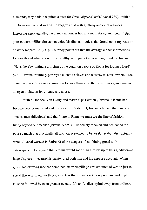diamonds, they hadn't acquired a taste for Greek *objets d'art"(JuvenaI230).* With all the focus on material wealth, he suggests that with gluttony and extravagances increasing exponentially, the greedy no longer had any room for contentment. "But your modem millionaire cannot enjoy his dinner ... unless that broad table-top rests on an ivory leopard..." (231). Courtney points out that the average citizens' affections for wealth and admiration of the wealthy were part of an alarming trend for Juvenal. "He is thereby hinting a criticism of the common people of Rome for loving a Lord" (490). Juvenal routinely portrayed clients as slaves and masters as slave owners. The common people's slavish admiration for wealth—no matter how it was gained—was an open invitation for tyranny and abuse.

With all the focus on luxury and material possessions, Juvenal's Rome had become very crime-filled and excessive. In Satire **III,** Juvenal claimed that poverty "makes men ridiculous" and that "here in Rome we must toe the line of fashion, living beyond our means" (Juvenal 92-93). His society mocked and demeaned the poor so much that practically all Romans pretended to be wealthier than they actually were. Juvenal warned in Satire XI of the dangers of combining greed with extravagance. He argued that Rutilus would soon sign himself up to be a gladiator-a huge disgrace—because his palate ruled both him and his expense account. When greed and extravagance are combined, its users pillage vast amounts of wealth just to spend that wealth on worthless, senseless things, and each new purchase and exploit must be followed by even grander events. It's an "endless spiral away from ordinary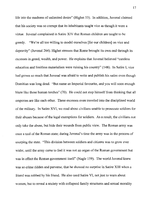life into the madness of unlimited desire" (Highet 53). In addition, Juvenal claimed that his society was so corrupt that its inhabitants taught vice as though it were a virtue. Juvenal complained in Satire XIV that Roman children are taught to be greedy. "We're all too willing to model ourselves [for our children] on vice and depravity" (Juvenal 264). Highet stresses that Rome brought its own end through its excesses in greed, wealth, and power. He explains that Juvenal believed "careless education and limitless materialism were ruining his country" (148). In Satire **I,** vice had grown so much that Juvenal was afraid to write and publish his satire even though Domitian was long dead. "But name an Imperial favourite, and you will soon enough blaze like those human torches" (70). He could not stop himself from thinking that all emperors are like each other. These excesses even traveled into the disciplined world of the military. In Satire XVI, we read about civilians unable to prosecute soldiers for their abuses because of the legal exemptions for soldiers. As a result, the civilians not only take the abuse, but hide their wounds from public view. The Roman army was once a tool of the Roman state; during Juvenal's time the army was in the process of usurping the state. "This division between soldiers and citizens was to grow ever wider, until the army came to feel it was not an organ of the Roman government but was in effect the Roman government itself' (Nagle 159). The world Juvenal knew was so crime ridden and perverse, that he showed no surprise in Satire **XIII** when a friend was robbed by his friend. He also used Satire VI, not just to warn about women, but to reveal a society with collapsed family structures and sexual morality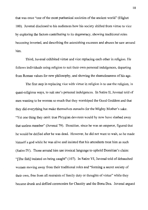that was once "one of the most puritanical societies of the ancient world" (Highet 100). Juvenal disclosed to his audiences how his society shifted from virtue to vice by exploring the factors contributing to its degeneracy, showing traditional roles becoming inverted, and describing the astonishing excesses and abuses he saw around him.

Third, Juvenal exhibited virtue and vice replacing each other in religion. He follows individuals using religion to suit their own personal indulgences, departing from Roman values for new philosophy, and showing the shamelessness of his age.

The first step in replacing vice with virtue in religion is to use the religion, in quasi-religious ways, to suit one's personal indulgences. In Satire II, Juvenal told of men wanting to be women so much that they worshiped the Good Goddess and that they did everything but make themselves eunuchs for the Mighty Mother's sake. "Yet one thing they omit: true Phrygian devotees would by now have slashed away that useless member" (Juvenal 79). Domitian, since he was an emperor, figured that he would be deified after he was dead. However, he did not want to wait, so he made himself a god while he was alive and insisted that his attendants treat him as such (Satire IV). Those around him use ironical language to uphold Domitian's claim: "[The fish] insisted on being caught" (107). In Satire VI, Juvenal told of debauched women moving away from their traditional roles and "forming a secret society of their own, free from all restraints of family duty or thoughts of virtue" while they became drunk and defiled ceremonies for Chastity and the Bona Dea. Juvenal argued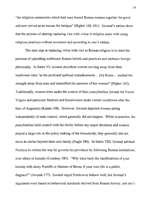"the religious ceremonies which had once bound Roman women together for good and now served as an excuse for intrigue" (Highet 100,101). Juvenal's satires show that the process of altering replacing vice with virtue in religion starts with using religious practices without reverence and according to one's whims.

The next step in replacing virtue with vice in Roman religion is to shed the pretense of upholding traditional Roman beliefs and practices and embrace foreign philosophy. In Satire VI, Juvenal described women moving away from their traditional roles "as the profound spiritual maladjustment ... [in] Rome ... sucked the strength away from men and intensified the passions of her women" (Highet 102). Traditionally, women were under the control of their *paterfamilias* (except for Vestal Virgins and particular freeborn and freedwomen under certain conditions after the time of Augustus) (Kamm 108). However, Juvenal depicted women acting independently of male control, which generally did not happen. While in practice, the *paterfamilias* held council with his family before any major decisions and women played a large role in the policy making of the households, they generally did not move in circles beyond their own family (Nagle 280). In Satire VIII, Juvenal advised Ponticus to reform the way he governs his provinces by following Roman institutions, over ethics or honesty (Courtney 383). "Why trace back the ramifications of your kinship with dusty Pontiffs or Masters of Horse, if your own life is a public disgrace?" (Juvenal 177). Juvenal urged Ponticus to behave well, but Juvenal's arguments were based on behavioral standards derived from Roman history, not one's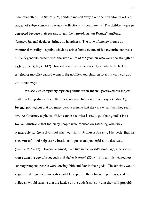individual ethics. In Satire XIV, children moved away from their traditional roles of respect of subservience into warped reflections of their parents. The children were so corrupted because their parents taught them greed, an "un-Roman" attribute. "Money, Juvenal declares, brings no happiness. The love of money breaks up traditional morality-a point which he drives home by one of his favourite contrasts ofthe degenerate present with the simple life of the yeomen who were the strength of early Rome" (Highet 147). Juvenal's satires reveal a society in which the lack of religion or morality caused women, the nobility, and children to act in very corrupt, un-Roman ways.

We see vice completely replacing virtue when Juvenal portrayed his subject matter as being shameless in their degeneracy. In his satire on prayer (Satire X), Juvenal pointed out that too many people assume that they are wiser than they really are. As Courtney explains, "Men cannot see what is really got their good" (446). luvenal illustrated that too many people were focused on gathering what was pleasurable for themselves, not what was right. "A man is dearer to [the gods] than he is to himself. Led helpless by irrational impulse and powerful blind desires ... " (luvenaI216-217). Juvenal claimed, "We live in the world's ninth age, a period still worse than the age of iron: such evil defies Nature" (250). With all this wickedness running rampant, people were loosing faith and fear in their gods. The atheists would assume that there were no gods available to punish them for wrong doings, and the believers would assume that the justice of the gods is so slow that they will probably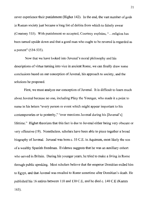never experience their punishment (Highet 142). In the end, the vast number of gods in Roman society just became a long list of deities from which to falsely swear (Courtney 535). With punishment so accepted, Courtney explains, " ... religion has been turned upside down and that a good man who ought to be revered is regarded as a portent" (534-535).

Now that we have looked into Juvenal's moral philosophy and his descriptions of virtue turning into vice in ancient Rome, we can finally draw some conclusions based on our conception of Juvenal, his approach to society, and the solutions he proposed.

First, we must analyze our conception of Juvenal. It is difficult to learn much about Juvenal because no one, including Pliny the Younger, who made it a point to name in his letters "every person or event which might appear important to his contemporaries or to posterity," "ever mentions Juvenal during his [Juvenal's] lifetime." Highet theorizes that this fact is due to Juvenal either being very obscure or very offensive (19). Nonetheless, scholars have been able to piece together a broad biography of Juvenal. Juvenal was born c. 55 C.E. in Aquinum, most likely the son of a wealthy Spanish freedman. Evidence suggests that he was an auxiliary cohort who served in Britain. During his younger years, he tried to make a living in Rome through public speaking. Most scholars believe that the emperor Domitian exiled him to Egypt, and that Juvenal was recalled to Rome sometime after Domitian's death. He published his 16 satires between 110 and 130 C.E, and he died c. 140 C.E (Kamm 163).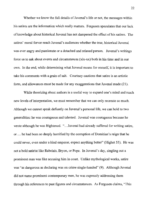Whether we know the full details of Juvenal's life or not, the messages within his satires are the information which really matters. Fergusen speculates that our lack of knowledge about historical Juvenal has not dampened the effect of his satires. The satires' moral fervor reach Juvenal's audiences whether the true, historical Juvenal was ever angry and passionate or a detached and relaxed person. Juvenal's writings force us to ask about events and circumstances (xix-xx) both in his time and in our own. In the end, while determining what Juvenal means for oneself, it is important to take his comments with a grain of salt. Courtney cautions that satire is an artistic form, and allowances must be made for any exaggerations that Juvenal made (21).

While theorizing about authors is a useful way to expand one's mind and reach new levels of interpretation, we must remember that we can only recreate so much. Although we cannot speak defiantly on Juvenal's personal life, we can hold to two generalities: he was courageous and talented. Juvenal was courageous because he wrote although he was frightened. "...Juvenal had already suffered for writing satire, or ... he had been so deeply horrified by the corruption of Domitian's reign that he could never, even under a kind emperor, expect anything better" (Highet 55). He was not a bold satirist like Rabelais, Bryon, or Pope. In Juvenal's day, singling out a prominent man was like accusing him in court. Unlike mythological works, satire was "as dangerous as declaring was on crime single-handed" (9). Although Juvenal did not name prominent contemporary men, he was expressly addressing them through his references to past figures and circumstances. As Fergusen claims, "This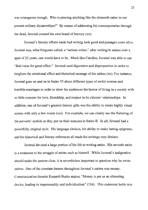was courageous enough. Who is penning anything like the sixteenth satire in our present military dictatorships?" By means of addressing his contemporaries through the dead, Juvenal created his own brand of bravery (xx).

Juvenal's literary efforts made bad writing look good and passages come alive. Juvenal was, what Fergusen called, a "serious writer," after writingl6 satires over a span of 25 years, one would have to be. Much like Catullus, Juvenal was able to use "Bad verse for good effect." Juvenal used digression and disproportion in order to heighten the emotional effect and rhetorical message of his satires (xx). For instance, Juvenal goes on and on in Satire VI about different types of awful women and horrible marriages in order to show his audiences the horror of living in a society with so little concern for love, friendship, and respect in its citizens' relationships. In addition, one of Juvenal's greatest literary gifts was his ability to create highly visual scenes with only a few words (xxi). For example, we can clearly see the fluttering of the perverts' eyelids as they put on their mascara in Satire II. In all, Juvenal had a powerfully original style. His language choices, his ability to make lasting epigrams, and his historical and literary references all made his writings very distinct.

Juvenal devoted a large portion of his life to writing satire. His seventh satire is a testament to the struggle of artists such as himself. While Juvenal's indignation should make the answer clear, it is nevertheless important to question why he wrote satires. One of the constant themes throughout Juvenal's satires was money. Communication theorist Kenneth Burke argues, "Money is per se an alienating device, leading to impersonality and individualism" (316). This statement holds true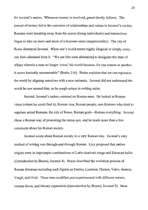for Juvenal's satires. Whenever money is involved, greed shortly follows. The pursuit of money led to the corrosion of relationships and values in Juvenal's society. Romans were breaking away from the norms (being individuals) and interactions began to take on more and more of a business sense (impersonality). The city of Rome dismayed Juvenal. When one's world seems highly illogical or simply crazy, one feels alienated from it. "We use [the term alienation] to designate the state of affairs wherein a man no longer 'owns' his world because, for one reason or another, it seems basically unreasonable" (Burke 216). Burke explains that we can repossess the world by aligning ourselves with a new rationale. Juvenal did not understand the world he saw around him, so he sough solace in writing satire.

Second, Juvenal's satires centered on Roman-ness. He looked at Roman virtue (where he could find it), Roman vice, Roman people, non-Romans who tried to supplant actual Romans, the city of Rome, Roman gods—Roman everything. Juvenal chose a Roman way of promoting the status quo, and he made more than a few comments about his Roman society.

Juvenal wrote about Roman society in a very Roman way. Juvenal's very method of writing was through-and-through Roman. Livy proposed that satires origins were in impromptu combinations of Latin charivari songs and Etruscan ballet  $($ introduction by Braun), Juvenal 4). Braun described the evolution process of Roman literature including such figures as Ennius, Luciuius, Horace, Yarro, Seneca, Vergil, and Ovid. These men modified and experimented with different meters, content focus, and literary expression ((introduction by Braun), Juvenal 9). Most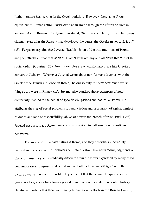Latin literature has its roots in the Greek tradition. However, there is no Greek equivalent of Roman satire. Satire evolved in Rome through the efforts of Roman authors. As the Roman critic Quintilian stated, "Satire is completely ours." Fergusen claims, "even after the Romans had developed the genre, the Greeks never took it up" (xi). Fergusen explains that Juvenal "has his vision of the true traditions of Rome, and [he] attacks all that falls short." Juvenal attacked any and all flaws that "upset the social order" (Courtney 23). Some examples are when Romans dress like Greeks or convert to Judaism. Whenever Juvenal wrote about non-Romans (such as with the Greek or the Jewish influence on Rome), he did so only to show how much worse things truly were in Rome (xix). Juvenal also attacked those examples of nonconformity that led to the denial of specific obligations and natural customs. He attributes the rise of social problems to renunciation and usurpation of rights; neglect of duties and lack of responsibility; abuse of power and breach oftrust" (xxii-xxiii). Juvenal used a satire, a Roman means of expression, to call attention to un-Roman behaviors.

The subject of luvenal's satires is Rome, and they describe an incredibly warped and perverse world. Scholars call into question luvenal's moral judgments on Rome because they are so radically different from the views expressed by many of his contemporaries. Fergusen states that we can both believe and disagree with the picture luvenal gave of his world. He points out that the Roman Empire sustained peace in a larger area for a longer period than in any other state in recorded history. He also reminds us that there were many humanitarian efforts in the Roman Empire,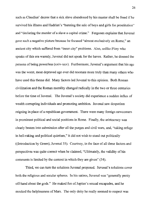such as Claudius' decree that a sick slave abandoned by his master shall be freed ifhe survived his illness and Hadrian's "banning the sale of boys and girls for prostitution" and "declaring the murder of a slave a capital crime." Fergusen explains that Juvenal gave such a negative picture because he focused "almost exclusively on Rome," an ancient city which suffered from "inner city" problems. Also, unlike Pliny who speaks of this era warmly, Juvenal did not speak for the haves. Rather, he donned the persona of being powerless (xxiv-xxv). Furthermore, Juvenal's argument that his age was the worst, most depraved age ever did resonate more truly than many others who have used this theme did. Many factors led Juvenal to this opinion. Both Roman civilization and the Roman morality changed radically in the two or three centuries before the time of Juvenal. The Juvenal's society did experience a sudden influx of wealth corrupting individuals and promoting ambition. Juvenal saw despotism reigning in place of a republican government. There were many foreign newcomers in prominent political and social positions in Rome. Finally, the aristocracy was clearly beaten into submission after all the purges and civil wars, and, "taking refuge in hell-raking and political quietism," it did not wish to stand out politically ((Introduction by Green), Juvenal 35). Courtney, in the face of all these factors and perspectives was quite correct when he claimed, "Ultimately, the validity of his comments is limited by the context in which they are given" (34).

Third, we can tum the solutions Juvenal proposed. Juvenal's solutions cover both the religious and secular spheres. In his satires, Juvenal was "generally pretty off-hand about the gods." He maked fun of Jupiter's sexual escapades, and he mocked the helplessness of Mars. The only deity he really seemed to respect was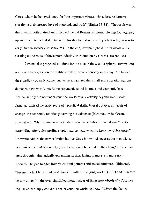Ceres, whom he believed stood for "the important virtues whose loss he laments: chastity, a disinterested love of mankind, and truth" (Highet 33-34). The result was that Juvenal both praised and ridiculed the old Roman religions. He was too wrapped up with the intellectual skepticism of his day to realize how important religion was to early Roman society (Courtney 25). **In** the end, Juvenal upheld moral ideals while slashing at the roots of those moral ideals ((Introduction by Green), Juvenal 38).

Juvenal also proposed solutions for the vice in the secular sphere. Juvenal did not have a firm grasp on the realities of the Roman economy in his day. He lauded the simplicity of early Rome, but he never realized that small-scale agrarian nations do not rule the world. As Rome expanded, so did its trade and economic base. Juvenal simply did not understand the worth of any activity beyond small-scale farming. Instead, he criticized trade, practical skills, liberal politics, all facets of change, the economic realities governing his existence (Introduction by Green, Juvenal 26). When commercial activities drew his attention, Juvenal saw "frantic scrambling after quick profits, stupid luxuries, and wheat to keep the rabble quiet." He would admire the harbor Trajan built at Ostia but would sneer at the men whose labor made the harbor a reality (27). Fergusen details that all the changes Rome had gone through-dramatically expanding its size, taking in more and more non-Romans-helped to alter Rome's cultural patterns and social structure. Ultimately, "Juvenal in fact fails to integrate himself with a changing world" (xxiii) and therefore he saw things "in the over-simplified moral values of times now obsolete" (Courtney 25). Juvenal simply could not see beyond the world he knew: "Given the fact of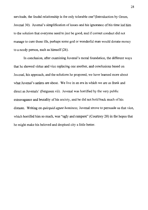servitude, the feudal relationship is the only tolerable one"(Introduction by Green, Juvenal 30). Iuvenal's simplification of issues and his ignorance of his time led him to the solution that everyone need to just be good, and if correct conduct did not manage to cure those ills, perhaps some god or wonderful man would donate money to a needy person, such as himself (26).

**In** conclusion, after examining Juvenal's moral foundation, the different ways that he showed virtue and vice replacing one another, and conclusions based on Juvenal, his approach, and the solutions he proposed, we have learned more about what Juvenal's satires are about. We live in an era in which we are as frank and direct as Juvenals' (Fergusen vii). Juvenal was horrified by the very public extravagance and brutality of his society, and he did not hold back much of his distaste. Writing on *quicquid agunt hominess,* Juvenal strove to persuade us that vice, which horrifed him so much, was "ugly and rampant" (Courtney 20) in the hopes that he might make his beloved and despised city a little better.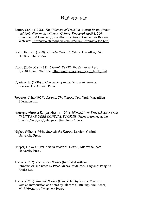### **Bibliography**

- Barton, Carlin (1998). *The "Moment of Truth* " *in Ancient Rome: Honor and Embodiement in a Contest Culture.* Retrieved April 8, 2004 from Stanford University, Standford Electronic Humanities Review Web site: http://www.stanford.edu/group/SHR/6-2/html/barton.html
- Burke, Kenneth (1959). *Attitudes Toward History.* Los Altos, CA: Hermes Publications.
- Cicero (2004, March 11). *Cicero's De Officiis.* Retrieved April 8,2004 from, Web site: http://www.stoics.coru/cicero book.html
- Courtney, E. (1980). *A Commentary on the Satires of Juvenal.*  London: The Athlone Press.
- Ferguson, John (1979). *Juvenal: The Satires.* New York: Macmillan Education Ltd.
- Hellenga, Virginia K. (October 11, 1997). *MODELS OF VIRTUE AND VICE IN LIVY'S AB URBE CONDlTA, BOOK III* . Paper presented at the Illinois Classical Conference, Rockford College.
- Highet, Gilbert (1954). *Juvenal: the Satirist.* London: Oxford University Press.
- Hooper, Finley (1979). *Roman Realities.* Detroit, MI: Wane State University Press.
- Juvenal (1967). *The Sixteen Satires* (translated with an introduction and notes by Peter Green). Middlesex, England: Penguin Books Ltd.
- Juvenal (1965). *Juvenal: Satires* ((Translated by Jerome Mazzaro with an Introduction and notes by Richard E. Braun)). Ann Arbor, MI: University of Michigan Press.